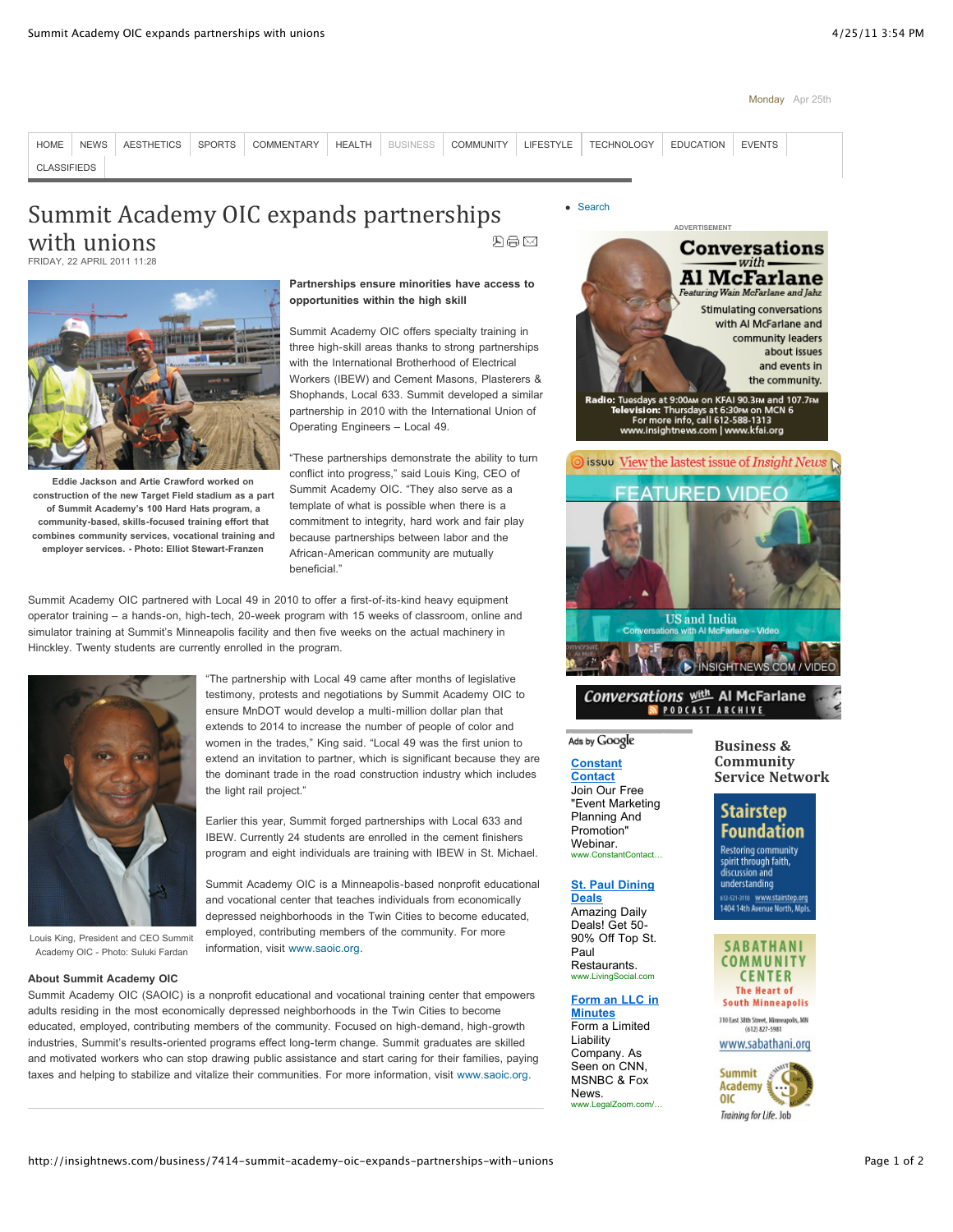#### Monday Apr 25th



# Summit Academy OIC expands partnerships with unions 四号区

FRIDAY, 22 APRIL 2011 11:28



**Eddie Jackson and Artie Crawford worked on construction of the new Target Field stadium as a part of Summit Academy's 100 Hard Hats program, a community-based, skills-focused training effort that combines community services, vocational training and employer services. - Photo: Elliot Stewart-Franzen**

# **Partnerships ensure minorities have access to opportunities within the high skill**

Summit Academy OIC offers specialty training in three high-skill areas thanks to strong partnerships with the International Brotherhood of Electrical Workers (IBEW) and Cement Masons, Plasterers & Shophands, Local 633. Summit developed a similar partnership in 2010 with the International Union of Operating Engineers – Local 49.

"These partnerships demonstrate the ability to turn conflict into progress," said Louis King, CEO of Summit Academy OIC. "They also serve as a template of what is possible when there is a commitment to integrity, hard work and fair play because partnerships between labor and the African-American community are mutually heneficial<sup>"</sup>

"The partnership with Local 49 came after months of legislative testimony, protests and negotiations by Summit Academy OIC to ensure MnDOT would develop a multi-million dollar plan that extends to 2014 to increase the number of people of color and women in the trades," King said. "Local 49 was the first union to extend an invitation to partner, which is significant because they are the dominant trade in the road construction industry which includes

Earlier this year, Summit forged partnerships with Local 633 and IBEW. Currently 24 students are enrolled in the cement finishers program and eight individuals are training with IBEW in St. Michael. Summit Academy OIC is a Minneapolis-based nonprofit educational and vocational center that teaches individuals from economically depressed neighborhoods in the Twin Cities to become educated, employed, contributing members of the community. For more

Summit Academy OIC partnered with Local 49 in 2010 to offer a first-of-its-kind heavy equipment operator training – a hands-on, high-tech, 20-week program with 15 weeks of classroom, online and simulator training at Summit's Minneapolis facility and then five weeks on the actual machinery in Hinckley. Twenty students are currently enrolled in the program.

the light rail project."



Louis King, President and CEO Summit Academy OIC - Photo: Suluki Fardan

### **About Summit Academy OIC**

Summit Academy OIC (SAOIC) is a nonprofit educational and vocational training center that empowers adults residing in the most economically depressed neighborhoods in the Twin Cities to become educated, employed, contributing members of the community. Focused on high-demand, high-growth industries, Summit's results-oriented programs effect long-term change. Summit graduates are skilled and motivated workers who can stop drawing public assistance and start caring for their families, paying taxes and helping to stabilize and vitalize their communities. For more information, visit [www.saoic.org.](http://www.saoic.org/)

information, visit [www.saoic.org](http://www.saoic.org/).

• [Search](http://insightnews.com/component/search/)



**Stimulating conversations** with AI McFarlane and community leaders about issues and events in the community.

Tuesdays at 9:00 m KFAI 90.3FM and 107.7FM<br>elevision: Thursdays at 6:30tM on MCN 6<br>For more info, call 612-588-1313<br>www.insightnews.com | www.kfai.org



# Conversations (进 Al McFarlane N PODCAST ARCHIVE

# Ads by Google

#### **[Constant](http://googleads.g.doubleclick.net/aclk?sa=l&ai=BvzpuXt-1TbzLMMzwqgGV3KicDbrz6u8B8uyfqhPajbaDRdCY9wEQARgBIKCFmQooBDgAUMX7u638_____wFgyd7niZSkmBOgAY6Ai-sDsgEPaW5zaWdodG5ld3MuY29tugEKMTIweDYwMF9hc8gBAdoBWGh0dHA6Ly9pbnNpZ2h0bmV3cy5jb20vYnVzaW5lc3MvNzQxNC1zdW1taXQtYWNhZGVteS1vaWMtZXhwYW5kcy1wYXJ0bmVyc2hpcHMtd2l0aC11bmlvbnPAAgWoAwHIAxfoA7Ep6APhCOgDjAX1AwIAAMQ&num=1&sig=AGiWqtxTEEgt50QrimqK-KsSaIK0kd3kCQ&client=ca-pub-4686714253046919&adurl=http://search.constantcontact.com/event-marketing/index.jsp%3Futm_id%3DGOO-113266-EVM%26cc%3DGOO-113266-EVM%26cpao%3D111%26cpca%3DEvent-Marketing-Content-Remarketing%26cpag%3DOnline-Event-Registration%26kw%3DContent%2BAd%2B1%26v%3D1) Contact**

Join Our Free "Event Marketing Planning And Promotion" Webinar.

Amazing Daily Deals! Get 50- 90% Off Top St. Paul Restaurants. www.LivingSocial.com

## **[Form an LLC in](http://googleads.g.doubleclick.net/aclk?sa=l&ai=Bw7e1Xt-1TbzLMMzwqgGV3KicDf_r5NQBl-eUgBnAjbcB4KLkARADGAMgoIWZCigEOABQhI6DzwZgyd7niZSkmBOgAcCPwv8DsgEPaW5zaWdodG5ld3MuY29tugEKMTIweDYwMF9hc8gBAdoBWGh0dHA6Ly9pbnNpZ2h0bmV3cy5jb20vYnVzaW5lc3MvNzQxNC1zdW1taXQtYWNhZGVteS1vaWMtZXhwYW5kcy1wYXJ0bmVyc2hpcHMtd2l0aC11bmlvbnOAAgHIAp2YDqgDAcgDF-gDsSnoA-EI6AOMBfUDAgAAxA&num=3&sig=AGiWqtw1SS8errCZ8EJlSoe2xtT6L5gvQw&client=ca-pub-4686714253046919&adurl=http://9.xg4ken.com/media/redir.php%3Fprof%3D585%26camp%3D8321%26affcode%3Dkw141808%26cid%3D6620261767%26networkType%3Dcontent%26kid%3D_kenshoo_clickid_%26url%5B%5D%3Dhttp://www.legalzoom.com/sem/llcpage-5.html%3FWT.srch%3D1%26se%3Dgoogle%26q%3Dllc%2Bpartnerships%26refcd%3DGO000000111596038c_llc_partnerships%26tsacr%3DGO6620261767) Minutes**

Form a Limited Liability Company. As Seen on CNN, MSNBC & Fox **News** www.LegalZoom.com/… **Business'& Community Service Network** 

# **Stairstep Foundation**

**Restoring community** spirit through faith, discussion and understanding siz-szi-3110 <mark>– www.stairstep.org</mark><br>1404 14th Avenue North, Mpls



310 East 38th Street, Minneapolis, MN (612) 827-5981

www.sabathani.org



www.ConstantContact…

**[St. Paul Dining](http://googleads.g.doubleclick.net/aclk?sa=l&ai=BVg01Xt-1TbzLMMzwqgGV3KicDaPX05QC6-j-wB3AjbcBgOzWARACGAIgoIWZCigEOABQoLiW9_7_____AWDJ3ueJlKSYE6AB7crQ2AOyAQ9pbnNpZ2h0bmV3cy5jb226AQoxMjB4NjAwX2FzyAEB2gFYaHR0cDovL2luc2lnaHRuZXdzLmNvbS9idXNpbmVzcy83NDE0LXN1bW1pdC1hY2FkZW15LW9pYy1leHBhbmRzLXBhcnRuZXJzaGlwcy13aXRoLXVuaW9uc8gC473AGqgDAcgDF-gDsSnoA-EI6AOMBfUDAgAAxA&num=2&sig=AGiWqtyKJTo-uQdCEY5solg9m3eZc7_0lg&client=ca-pub-4686714253046919&adurl=http://livingsocial.com/deals/socialads_reflector%3Fdo_not_redirect%3D1%26preferred_city%3D226%26ref%3Dgoogle_content6_226_stpaul) Deals**